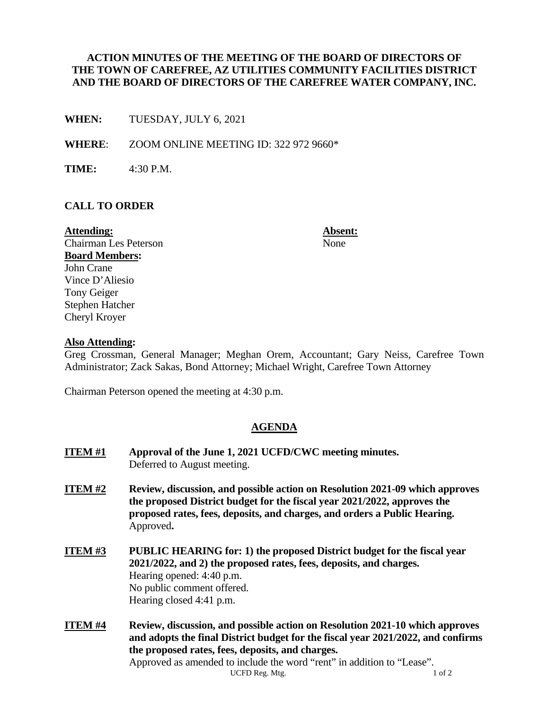### **ACTION MINUTES OF THE MEETING OF THE BOARD OF DIRECTORS OF THE TOWN OF CAREFREE, AZ UTILITIES COMMUNITY FACILITIES DISTRICT AND THE BOARD OF DIRECTORS OF THE CAREFREE WATER COMPANY, INC.**

**WHEN:** TUESDAY, JULY 6, 2021

**WHERE**: ZOOM ONLINE MEETING ID: 322 972 9660\*

**TIME:** 4:30 P.M.

### **CALL TO ORDER**

**Attending: Absent:** Chairman Les Peterson None **Board Members:**  John Crane Vince D'Aliesio Tony Geiger Stephen Hatcher Cheryl Kroyer

#### **Also Attending:**

Greg Crossman, General Manager; Meghan Orem, Accountant; Gary Neiss, Carefree Town Administrator; Zack Sakas, Bond Attorney; Michael Wright, Carefree Town Attorney

Chairman Peterson opened the meeting at 4:30 p.m.

#### **AGENDA**

| <b>ITEM#1</b> | Approval of the June 1, 2021 UCFD/CWC meeting minutes.<br>Deferred to August meeting.                                                                                                                                                              |
|---------------|----------------------------------------------------------------------------------------------------------------------------------------------------------------------------------------------------------------------------------------------------|
| ITEM#2        | Review, discussion, and possible action on Resolution 2021-09 which approves<br>the proposed District budget for the fiscal year 2021/2022, approves the<br>proposed rates, fees, deposits, and charges, and orders a Public Hearing.<br>Approved. |
| <b>ITEM#3</b> | <b>PUBLIC HEARING for: 1) the proposed District budget for the fiscal year</b><br>2021/2022, and 2) the proposed rates, fees, deposits, and charges.<br>Hearing opened: 4:40 p.m.<br>No public comment offered.<br>Hearing closed 4:41 p.m.        |
| <b>ITEM#4</b> | Review, discussion, and possible action on Resolution 2021-10 which approves<br>and adopts the final District budget for the fiscal year 2021/2022, and confirms<br>the proposed rates, fees, deposits, and charges.                               |

UCFD Reg. Mtg. 2012 Approved as amended to include the word "rent" in addition to "Lease".